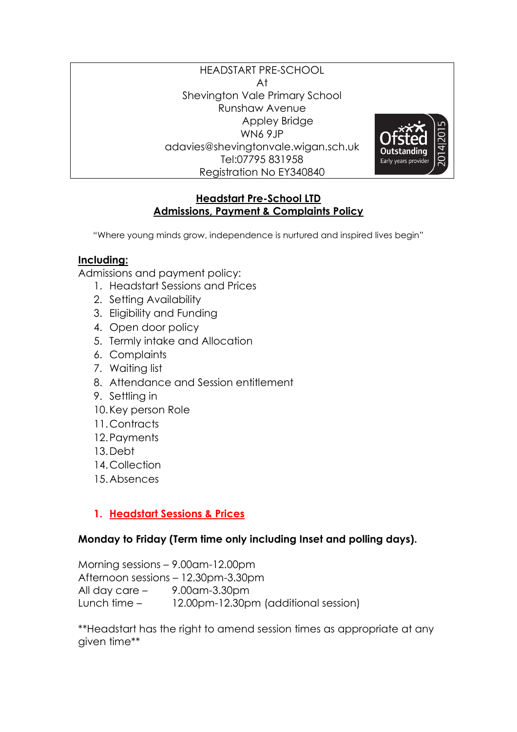#### HEADSTART PRE-SCHOOL At Shevington Vale Primary School Runshaw Avenue Appley Bridge WN6 9JP adavies@shevingtonvale.wigan.sch.uk Tel:07795 831958 Registration No EY340840



#### **Headstart Pre-School LTD Admissions, Payment & Complaints Policy**

"Where young minds grow, independence is nurtured and inspired lives begin"

#### **Including:**

Admissions and payment policy:

- 1. Headstart Sessions and Prices
- 2. Setting Availability
- 3. Eligibility and Funding
- 4. Open door policy
- 5. Termly intake and Allocation
- 6. Complaints
- 7. Waiting list
- 8. Attendance and Session entitlement
- 9. Settling in
- 10.Key person Role
- 11.Contracts
- 12.Payments
- 13.Debt
- 14.Collection
- 15.Absences

## **1. Headstart Sessions & Prices**

## **Monday to Friday (Term time only including Inset and polling days).**

Morning sessions – 9.00am-12.00pm Afternoon sessions – 12.30pm-3.30pm All day care – 9.00am-3.30pm Lunch time – 12.00pm-12.30pm (additional session)

\*\*Headstart has the right to amend session times as appropriate at any given time\*\*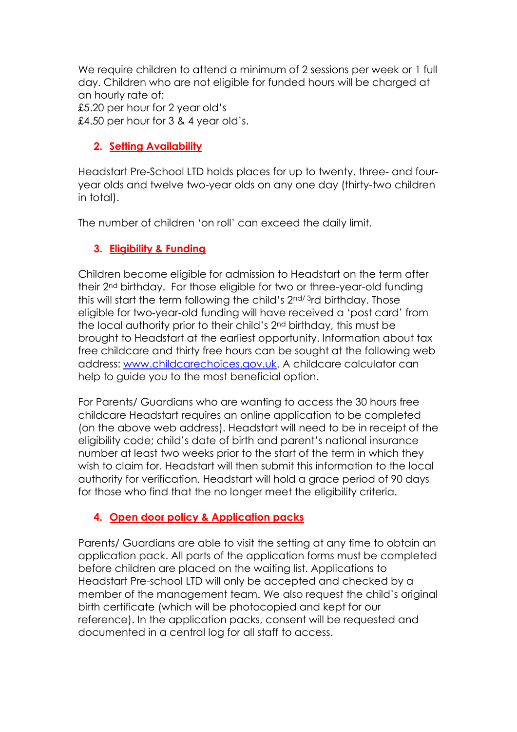We require children to attend a minimum of 2 sessions per week or 1 full day. Children who are not eligible for funded hours will be charged at an hourly rate of: £5.20 per hour for 2 year old's £4.50 per hour for 3 & 4 year old's.

## **2. Setting Availability**

Headstart Pre-School LTD holds places for up to twenty, three- and fouryear olds and twelve two-year olds on any one day (thirty-two children in total).

The number of children 'on roll' can exceed the daily limit.

# **3. Eligibility & Funding**

Children become eligible for admission to Headstart on the term after their 2nd birthday. For those eligible for two or three-year-old funding this will start the term following the child's 2nd/ 3rd birthday. Those eligible for two-year-old funding will have received a 'post card' from the local authority prior to their child's 2nd birthday, this must be brought to Headstart at the earliest opportunity. Information about tax free childcare and thirty free hours can be sought at the following web address: [www.childcarechoices.gov.uk.](http://www.childcarechoices.gov.uk/) A childcare calculator can help to guide you to the most beneficial option.

For Parents/ Guardians who are wanting to access the 30 hours free childcare Headstart requires an online application to be completed (on the above web address). Headstart will need to be in receipt of the eligibility code; child's date of birth and parent's national insurance number at least two weeks prior to the start of the term in which they wish to claim for. Headstart will then submit this information to the local authority for verification. Headstart will hold a grace period of 90 days for those who find that the no longer meet the eligibility criteria.

# **4. Open door policy & Application packs**

Parents/ Guardians are able to visit the setting at any time to obtain an application pack. All parts of the application forms must be completed before children are placed on the waiting list. Applications to Headstart Pre-school LTD will only be accepted and checked by a member of the management team. We also request the child's original birth certificate (which will be photocopied and kept for our reference). In the application packs, consent will be requested and documented in a central log for all staff to access.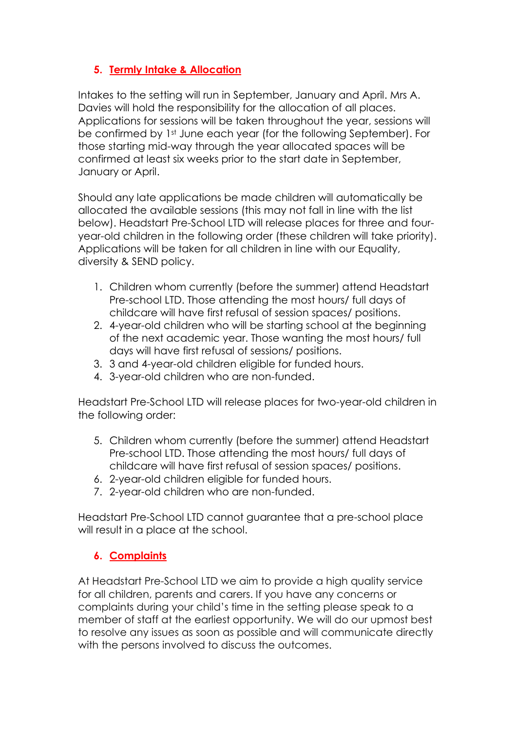## **5. Termly Intake & Allocation**

Intakes to the setting will run in September, January and April. Mrs A. Davies will hold the responsibility for the allocation of all places. Applications for sessions will be taken throughout the year, sessions will be confirmed by 1st June each year (for the following September). For those starting mid-way through the year allocated spaces will be confirmed at least six weeks prior to the start date in September, January or April.

Should any late applications be made children will automatically be allocated the available sessions (this may not fall in line with the list below). Headstart Pre-School LTD will release places for three and fouryear-old children in the following order (these children will take priority). Applications will be taken for all children in line with our Equality, diversity & SEND policy.

- 1. Children whom currently (before the summer) attend Headstart Pre-school LTD. Those attending the most hours/ full days of childcare will have first refusal of session spaces/ positions.
- 2. 4-year-old children who will be starting school at the beginning of the next academic year. Those wanting the most hours/ full days will have first refusal of sessions/ positions.
- 3. 3 and 4-year-old children eligible for funded hours.
- 4. 3-year-old children who are non-funded.

Headstart Pre-School LTD will release places for two-year-old children in the following order:

- 5. Children whom currently (before the summer) attend Headstart Pre-school LTD. Those attending the most hours/ full days of childcare will have first refusal of session spaces/ positions.
- 6. 2-year-old children eligible for funded hours.
- 7. 2-year-old children who are non-funded.

Headstart Pre-School LTD cannot guarantee that a pre-school place will result in a place at the school.

# **6. Complaints**

At Headstart Pre-School LTD we aim to provide a high quality service for all children, parents and carers. If you have any concerns or complaints during your child's time in the setting please speak to a member of staff at the earliest opportunity. We will do our upmost best to resolve any issues as soon as possible and will communicate directly with the persons involved to discuss the outcomes.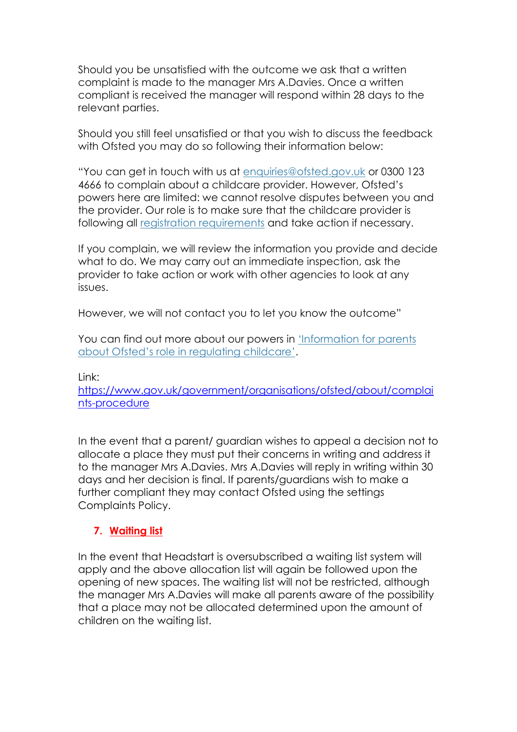Should you be unsatisfied with the outcome we ask that a written complaint is made to the manager Mrs A.Davies. Once a written compliant is received the manager will respond within 28 days to the relevant parties.

Should you still feel unsatisfied or that you wish to discuss the feedback with Ofsted you may do so following their information below:

"You can get in touch with us at [enquiries@ofsted.gov.uk](mailto:enquiries@ofsted.gov.uk) or 0300 123 4666 to complain about a childcare provider. However, Ofsted's powers here are limited: we cannot resolve disputes between you and the provider. Our role is to make sure that the childcare provider is following all [registration requirements](https://www.gov.uk/guidance/childminders-and-childcare-providers-register-with-ofsted/registration-requirements) and take action if necessary.

If you complain, we will review the information you provide and decide what to do. We may carry out an immediate inspection, ask the provider to take action or work with other agencies to look at any issues.

However, we will not contact you to let you know the outcome"

You can find out more about our powers in ['Information for parents](https://www.gov.uk/government/publications/information-for-parents-about-ofsteds-role-in-regulating-childcare)  [about Ofsted's role in regulating childcare'](https://www.gov.uk/government/publications/information-for-parents-about-ofsteds-role-in-regulating-childcare).

Link:

[https://www.gov.uk/government/organisations/ofsted/about/complai](https://www.gov.uk/government/organisations/ofsted/about/complaints-procedure) [nts-procedure](https://www.gov.uk/government/organisations/ofsted/about/complaints-procedure)

In the event that a parent/ guardian wishes to appeal a decision not to allocate a place they must put their concerns in writing and address it to the manager Mrs A.Davies. Mrs A.Davies will reply in writing within 30 days and her decision is final. If parents/guardians wish to make a further compliant they may contact Ofsted using the settings Complaints Policy.

## **7. Waiting list**

In the event that Headstart is oversubscribed a waiting list system will apply and the above allocation list will again be followed upon the opening of new spaces. The waiting list will not be restricted, although the manager Mrs A.Davies will make all parents aware of the possibility that a place may not be allocated determined upon the amount of children on the waiting list.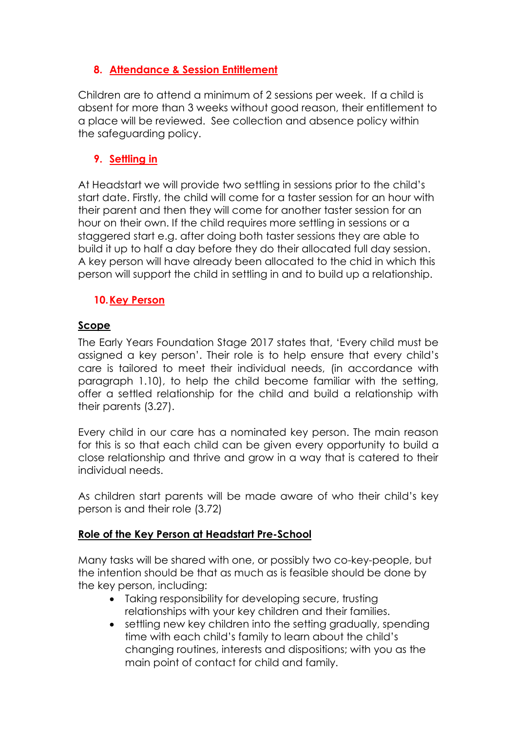## **8. Attendance & Session Entitlement**

Children are to attend a minimum of 2 sessions per week. If a child is absent for more than 3 weeks without good reason, their entitlement to a place will be reviewed. See collection and absence policy within the safeguarding policy.

## **9. Settling in**

At Headstart we will provide two settling in sessions prior to the child's start date. Firstly, the child will come for a taster session for an hour with their parent and then they will come for another taster session for an hour on their own. If the child requires more settling in sessions or a staggered start e.g. after doing both taster sessions they are able to build it up to half a day before they do their allocated full day session. A key person will have already been allocated to the chid in which this person will support the child in settling in and to build up a relationship.

#### **10.Key Person**

#### **Scope**

The Early Years Foundation Stage 2017 states that, 'Every child must be assigned a key person'. Their role is to help ensure that every child's care is tailored to meet their individual needs, (in accordance with paragraph 1.10), to help the child become familiar with the setting, offer a settled relationship for the child and build a relationship with their parents (3.27).

Every child in our care has a nominated key person. The main reason for this is so that each child can be given every opportunity to build a close relationship and thrive and grow in a way that is catered to their individual needs.

As children start parents will be made aware of who their child's key person is and their role (3.72)

#### **Role of the Key Person at Headstart Pre-School**

Many tasks will be shared with one, or possibly two co-key-people, but the intention should be that as much as is feasible should be done by the key person, including:

- Taking responsibility for developing secure, trusting relationships with your key children and their families.
- settling new key children into the setting gradually, spending time with each child's family to learn about the child's changing routines, interests and dispositions; with you as the main point of contact for child and family.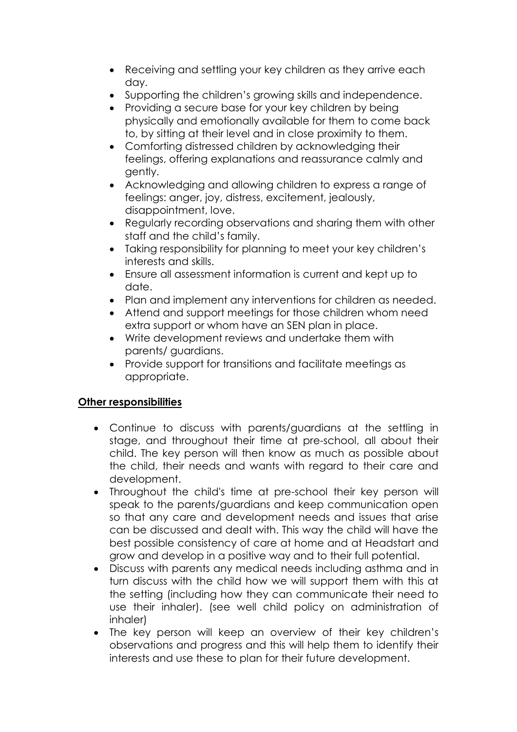- Receiving and settling your key children as they arrive each day.
- Supporting the children's growing skills and independence.
- Providing a secure base for your key children by being physically and emotionally available for them to come back to, by sitting at their level and in close proximity to them.
- Comforting distressed children by acknowledging their feelings, offering explanations and reassurance calmly and gently.
- Acknowledging and allowing children to express a range of feelings: anger, joy, distress, excitement, jealously, disappointment, love.
- Regularly recording observations and sharing them with other staff and the child's family.
- Taking responsibility for planning to meet your key children's interests and skills.
- Ensure all assessment information is current and kept up to date.
- Plan and implement any interventions for children as needed.
- Attend and support meetings for those children whom need extra support or whom have an SEN plan in place.
- Write development reviews and undertake them with parents/ guardians.
- Provide support for transitions and facilitate meetings as appropriate.

## **Other responsibilities**

- Continue to discuss with parents/guardians at the settling in stage, and throughout their time at pre-school, all about their child. The key person will then know as much as possible about the child, their needs and wants with regard to their care and development.
- Throughout the child's time at pre-school their key person will speak to the parents/guardians and keep communication open so that any care and development needs and issues that arise can be discussed and dealt with. This way the child will have the best possible consistency of care at home and at Headstart and grow and develop in a positive way and to their full potential.
- Discuss with parents any medical needs including asthma and in turn discuss with the child how we will support them with this at the setting (including how they can communicate their need to use their inhaler). (see well child policy on administration of inhaler)
- The key person will keep an overview of their key children's observations and progress and this will help them to identify their interests and use these to plan for their future development.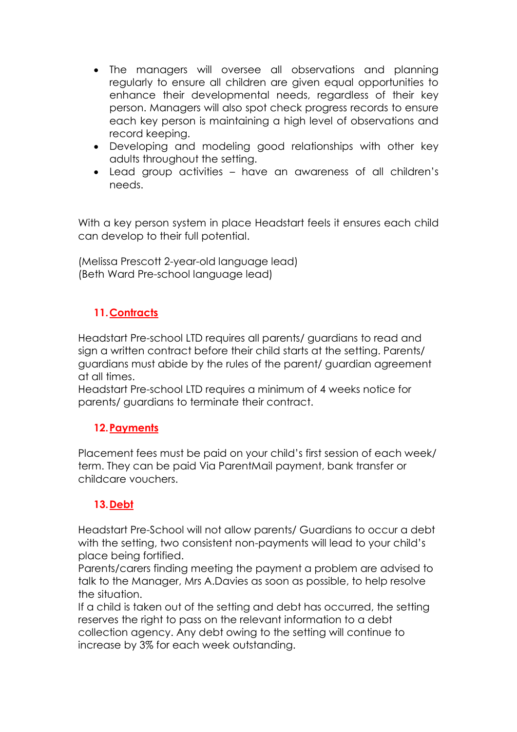- The managers will oversee all observations and planning regularly to ensure all children are given equal opportunities to enhance their developmental needs, regardless of their key person. Managers will also spot check progress records to ensure each key person is maintaining a high level of observations and record keeping.
- Developing and modeling good relationships with other key adults throughout the setting.
- Lead group activities have an awareness of all children's needs.

With a key person system in place Headstart feels it ensures each child can develop to their full potential.

(Melissa Prescott 2-year-old language lead) (Beth Ward Pre-school language lead)

# **11.Contracts**

Headstart Pre-school LTD requires all parents/ guardians to read and sign a written contract before their child starts at the setting. Parents/ guardians must abide by the rules of the parent/ guardian agreement at all times.

Headstart Pre-school LTD requires a minimum of 4 weeks notice for parents/ guardians to terminate their contract.

## **12.Payments**

Placement fees must be paid on your child's first session of each week/ term. They can be paid Via ParentMail payment, bank transfer or childcare vouchers.

## **13.Debt**

Headstart Pre-School will not allow parents/ Guardians to occur a debt with the setting, two consistent non-payments will lead to your child's place being fortified.

Parents/carers finding meeting the payment a problem are advised to talk to the Manager, Mrs A.Davies as soon as possible, to help resolve the situation.

If a child is taken out of the setting and debt has occurred, the setting reserves the right to pass on the relevant information to a debt collection agency. Any debt owing to the setting will continue to increase by 3% for each week outstanding.